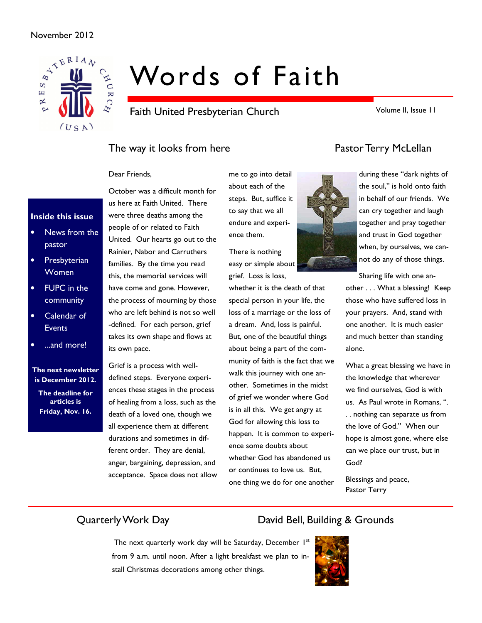#### November 2012



# Words of Faith

Faith United Presbyterian Church

Volume II, Issue 11

# The way it looks from here **Pastor Terry McLellan**

#### Dear Friends,

#### Inside this issue

- News from the pastor
- Presbyterian Women
- FUPC in the community
- Calendar of **Events**
- ...and more!

#### The next newsletter is December 2012.

The deadline for articles is Friday, Nov. 16.

October was a difficult month for us here at Faith United. There were three deaths among the people of or related to Faith United. Our hearts go out to the Rainier, Nabor and Carruthers families. By the time you read this, the memorial services will have come and gone. However, the process of mourning by those who are left behind is not so well -defined. For each person, grief takes its own shape and flows at its own pace.

Grief is a process with welldefined steps. Everyone experiences these stages in the process of healing from a loss, such as the death of a loved one, though we all experience them at different durations and sometimes in different order. They are denial, anger, bargaining, depression, and acceptance. Space does not allow me to go into detail about each of the steps. But, suffice it to say that we all endure and experience them.

There is nothing easy or simple about grief. Loss is loss,

whether it is the death of that special person in your life, the loss of a marriage or the loss of a dream. And, loss is painful. But, one of the beautiful things about being a part of the community of faith is the fact that we walk this journey with one another. Sometimes in the midst of grief we wonder where God is in all this. We get angry at God for allowing this loss to happen. It is common to experience some doubts about whether God has abandoned us or continues to love us. But, one thing we do for one another



during these "dark nights of the soul," is hold onto faith in behalf of our friends. We can cry together and laugh together and pray together and trust in God together when, by ourselves, we cannot do any of those things.

Sharing life with one another . . . What a blessing! Keep those who have suffered loss in your prayers. And, stand with one another. It is much easier and much better than standing alone.

What a great blessing we have in the knowledge that wherever we find ourselves, God is with us. As Paul wrote in Romans, ". . . nothing can separate us from the love of God." When our hope is almost gone, where else can we place our trust, but in God?

Blessings and peace, Pastor Terry

# Quarterly Work Day David Bell, Building & Grounds

# The next quarterly work day will be Saturday, December 1st from 9 a.m. until noon. After a light breakfast we plan to install Christmas decorations among other things.

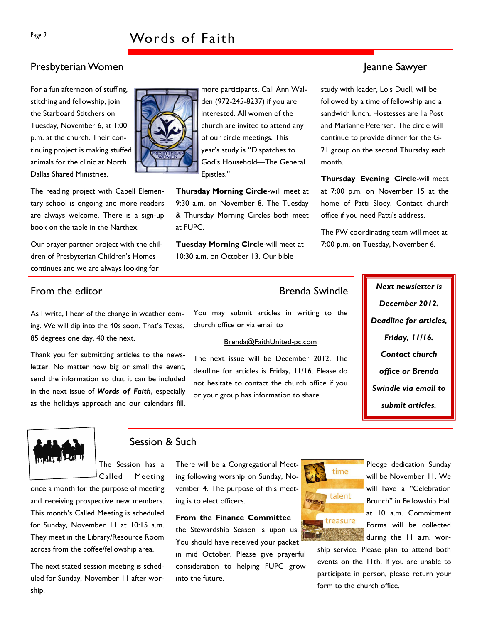## Presbyterian Women Jeanne Sawyer

For a fun afternoon of stuffing, stitching and fellowship, join the Starboard Stitchers on Tuesday, November 6, at 1:00 p.m. at the church. Their continuing project is making stuffed animals for the clinic at North Dallas Shared Ministries.

The reading project with Cabell Elementary school is ongoing and more readers are always welcome. There is a sign-up book on the table in the Narthex.

Our prayer partner project with the children of Presbyterian Children's Homes continues and we are always looking for

# From the editor **Exercise Systems** Brenda Swindle **Next newsletter is**

As I write, I hear of the change in weather coming. We will dip into the 40s soon. That's Texas, 85 degrees one day, 40 the next.

Thank you for submitting articles to the newsletter. No matter how big or small the event, send the information so that it can be included in the next issue of Words of Faith, especially as the holidays approach and our calendars fill.



### Session & Such

The Session has a Called Meeting

once a month for the purpose of meeting and receiving prospective new members. This month's Called Meeting is scheduled for Sunday, November 11 at 10:15 a.m. They meet in the Library/Resource Room across from the coffee/fellowship area.

The next stated session meeting is scheduled for Sunday, November 11 after worship.

There will be a Congregational Meeting following worship on Sunday, November 4. The purpose of this meeting is to elect officers.

From the Finance Committee the Stewardship Season is upon us. You should have received your packet in mid October. Please give prayerful consideration to helping FUPC grow into the future.



Pledge dedication Sunday will be November 11. We will have a "Celebration Brunch" in Fellowship Hall at 10 a.m. Commitment Forms will be collected during the 11 a.m. wor-

ship service. Please plan to attend both events on the 11th. If you are unable to participate in person, please return your form to the church office.



more participants. Call Ann Walden (972-245-8237) if you are interested. All women of the church are invited to attend any of our circle meetings. This year's study is "Dispatches to God's Household—The General Epistles."

Thursday Morning Circle-will meet at 9:30 a.m. on November 8. The Tuesday & Thursday Morning Circles both meet at FUPC.

Tuesday Morning Circle-will meet at 10:30 a.m. on October 13. Our bible

study with leader, Lois Duell, will be followed by a time of fellowship and a sandwich lunch. Hostesses are Ila Post and Marianne Petersen. The circle will continue to provide dinner for the G-21 group on the second Thursday each month.

Thursday Evening Circle-will meet at 7:00 p.m. on November 15 at the home of Patti Sloey. Contact church office if you need Patti's address.

The PW coordinating team will meet at 7:00 p.m. on Tuesday, November 6.

You may submit articles in writing to the church office or via email to

#### Brenda@FaithUnited-pc.com

The next issue will be December 2012. The deadline for articles is Friday, 11/16. Please do not hesitate to contact the church office if you or your group has information to share.

December 2012. Deadline for articles, Friday, 11/16. Contact church office or Brenda Swindle via email to submit articles.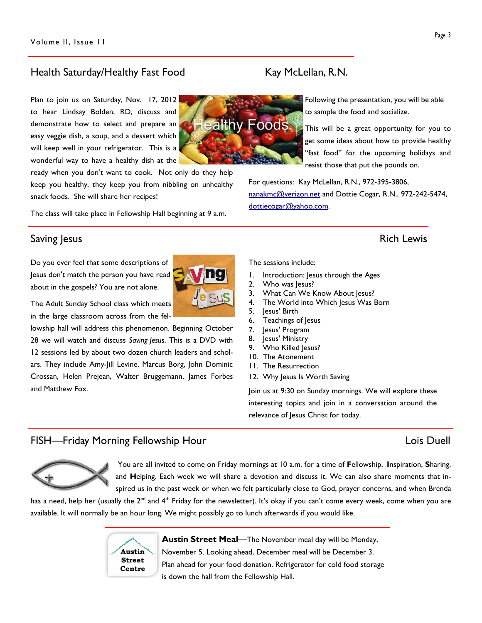#### Health Saturday/Healthy Fast Food Kay McLellan, R.N.

Plan to join us on Saturday, Nov. 17, 2012 to hear Lindsay Bolden, RD, discuss and demonstrate how to select and prepare an easy veggie dish, a soup, and a dessert which will keep well in your refrigerator. This is a wonderful way to have a healthy dish at the

ready when you don't want to cook. Not only do they help keep you healthy, they keep you from nibbling on unhealthy snack foods. She will share her recipes!

The class will take place in Fellowship Hall beginning at 9 a.m.

### Saving Jesus **Rich Lewis** Saving Jesus **Rich Lewis**

Do you ever feel that some descriptions of Jesus don't match the person you have read about in the gospels? You are not alone.

The Adult Sunday School class which meets in the large classroom across from the fel-

lowship hall will address this phenomenon. Beginning October 28 we will watch and discuss Saving Jesus. This is a DVD with 12 sessions led by about two dozen church leaders and scholars. They include Amy-Jill Levine, Marcus Borg, John Dominic Crossan, Helen Prejean, Walter Bruggemann, James Forbes and Matthew Fox.

- 
- 3. What Can We Know About Jesus?
- 4. The World into Which Jesus Was Born
- 5. Jesus' Birth
- 6. Teachings of Jesus
- 7. Jesus' Program
- 8. Jesus' Ministry
- 
- 
- 12. Why Jesus Is Worth Saving

Join us at 9:30 on Sunday mornings. We will explore these interesting topics and join in a conversation around the relevance of Jesus Christ for today.

#### FISH—Friday Morning Fellowship Hour Lois Duell

Austin **Street** Centre

 You are all invited to come on Friday mornings at 10 a.m. for a time of Fellowship, Inspiration, Sharing, and Helping. Each week we will share a devotion and discuss it. We can also share moments that inspired us in the past week or when we felt particularly close to God, prayer concerns, and when Brenda

has a need, help her (usually the 2<sup>nd</sup> and 4<sup>th</sup> Friday for the newsletter). It's okay if you can't come every week, come when you are available. It will normally be an hour long. We might possibly go to lunch afterwards if you would like.

> Austin Street Meal—The November meal day will be Monday, November 5. Looking ahead, December meal will be December 3. Plan ahead for your food donation. Refrigerator for cold food storage is down the hall from the Fellowship Hall.

Following the presentation, you will be able ealthy Foods

get some ideas about how to provide healthy "fast food" for the upcoming holidays and resist those that put the pounds on.

For questions: Kay McLellan, R.N., 972-395-3806, nanakmc@verizon.net and Dottie Cogar, R.N., 972-242-5474, dottiecogar@yahoo.com.

#### The sessions include:

- 1. Introduction: Jesus through the Ages
- 2. Who was Jesus?
- 
- 
- 
- 
- 
- 9. Who Killed Jesus?
- 10. The Atonement
- 11. The Resurrection
- 

to sample the food and socialize.

This will be a great opportunity for you to









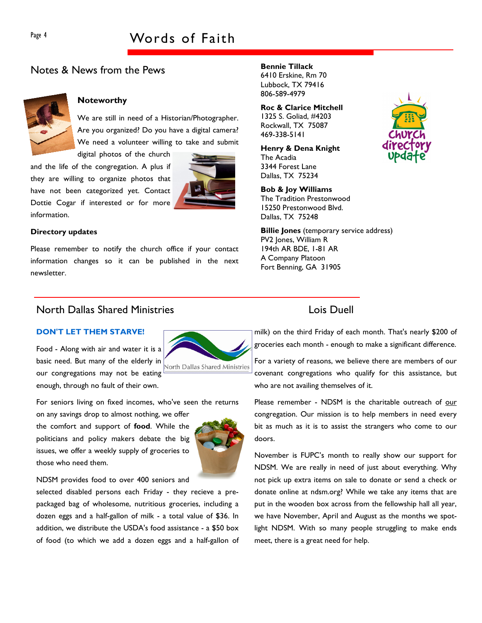### Notes & News from the Pews



#### Noteworthy

We are still in need of a Historian/Photographer. Are you organized? Do you have a digital camera? We need a volunteer willing to take and submit

digital photos of the church and the life of the congregation. A plus if they are willing to organize photos that have not been categorized yet. Contact Dottie Cogar if interested or for more information.



#### Directory updates

Please remember to notify the church office if your contact information changes so it can be published in the next newsletter.

#### North Dallas Shared Ministries Lois Duell

#### DON'T LET THEM STARVE!

Food - Along with air and water it is a basic need. But many of the elderly in North Dallas Shared Ministries our congregations may not be eating enough, through no fault of their own.

For seniors living on fixed incomes, who've seen the returns

on any savings drop to almost nothing, we offer the comfort and support of food. While the politicians and policy makers debate the big issues, we offer a weekly supply of groceries to those who need them.



NDSM provides food to over 400 seniors and

selected disabled persons each Friday - they recieve a prepackaged bag of wholesome, nutritious groceries, including a dozen eggs and a half-gallon of milk - a total value of \$36. In addition, we distribute the USDA's food assistance - a \$50 box of food (to which we add a dozen eggs and a half-gallon of

#### Bennie Tillack

6410 Erskine, Rm 70 Lubbock, TX 79416 806-589-4979

Roc & Clarice Mitchell 1325 S. Goliad, #4203 Rockwall, TX 75087 469-338-5141

#### Henry & Dena Knight

The Acadia 3344 Forest Lane Dallas, TX 75234

#### Bob & Joy Williams

The Tradition Prestonwood 15250 Prestonwood Blvd. Dallas, TX 75248

Billie Jones (temporary service address) PV2 Jones, William R 194th AR BDE, 1-81 AR A Company Platoon Fort Benning, GA 31905



milk) on the third Friday of each month. That's nearly \$200 of groceries each month - enough to make a significant difference.

For a variety of reasons, we believe there are members of our covenant congregations who qualify for this assistance, but who are not availing themselves of it.

Please remember - NDSM is the charitable outreach of our congregation. Our mission is to help members in need every bit as much as it is to assist the strangers who come to our doors.

November is FUPC's month to really show our support for NDSM. We are really in need of just about everything. Why not pick up extra items on sale to donate or send a check or donate online at ndsm.org? While we take any items that are put in the wooden box across from the fellowship hall all year, we have November, April and August as the months we spotlight NDSM. With so many people struggling to make ends meet, there is a great need for help.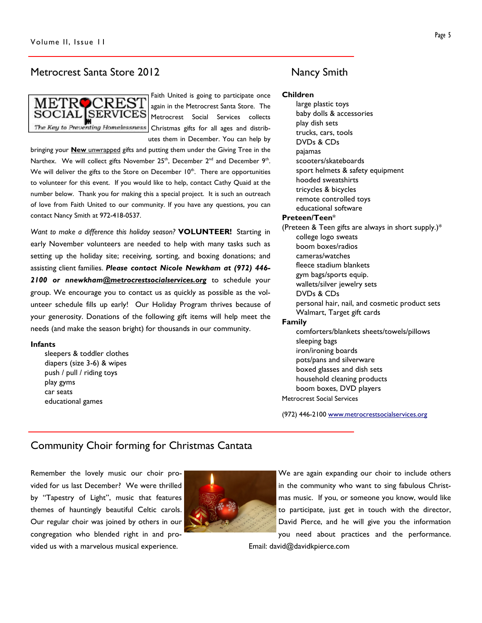### Metrocrest Santa Store 2012 Mancy Smith



Faith United is going to participate once again in the Metrocrest Santa Store. The Metrocrest Social Services collects Christmas gifts for all ages and distributes them in December. You can help by

bringing your **New** unwrapped gifts and putting them under the Giving Tree in the Narthex. We will collect gifts November  $25<sup>th</sup>$ , December  $2<sup>nd</sup>$  and December  $9<sup>th</sup>$ . We will deliver the gifts to the Store on December  $10<sup>th</sup>$ . There are opportunities to volunteer for this event. If you would like to help, contact Cathy Quaid at the number below. Thank you for making this a special project. It is such an outreach of love from Faith United to our community. If you have any questions, you can contact Nancy Smith at 972-418-0537.

Want to make a difference this holiday season? VOLUNTEER! Starting in early November volunteers are needed to help with many tasks such as setting up the holiday site; receiving, sorting, and boxing donations; and assisting client families. Please contact Nicole Newkham at (972) 446-2100 or nnewkham@metrocrestsocialservices.org to schedule your group. We encourage you to contact us as quickly as possible as the volunteer schedule fills up early! Our Holiday Program thrives because of your generosity. Donations of the following gift items will help meet the needs (and make the season bright) for thousands in our community.

#### Infants

sleepers & toddler clothes diapers (size 3-6) & wipes push / pull / riding toys play gyms car seats educational games

Children

large plastic toys baby dolls & accessories play dish sets trucks, cars, tools DVDs & CDs pajamas scooters/skateboards sport helmets & safety equipment hooded sweatshirts tricycles & bicycles remote controlled toys educational software Preteen/Teen\* (Preteen & Teen gifts are always in short supply.)\* college logo sweats boom boxes/radios cameras/watches fleece stadium blankets gym bags/sports equip. wallets/silver jewelry sets DVDs & CDs personal hair, nail, and cosmetic product sets Walmart, Target gift cards Family comforters/blankets sheets/towels/pillows sleeping bags iron/ironing boards pots/pans and silverware boxed glasses and dish sets household cleaning products boom boxes, DVD players Metrocrest Social Services

(972) 446-2100 www.metrocrestsocialservices.org

### Community Choir forming for Christmas Cantata

Remember the lovely music our choir provided for us last December? We were thrilled by "Tapestry of Light", music that features themes of hauntingly beautiful Celtic carols. Our regular choir was joined by others in our congregation who blended right in and provided us with a marvelous musical experience.



We are again expanding our choir to include others in the community who want to sing fabulous Christmas music. If you, or someone you know, would like to participate, just get in touch with the director, David Pierce, and he will give you the information you need about practices and the performance.

Email: david@davidkpierce.com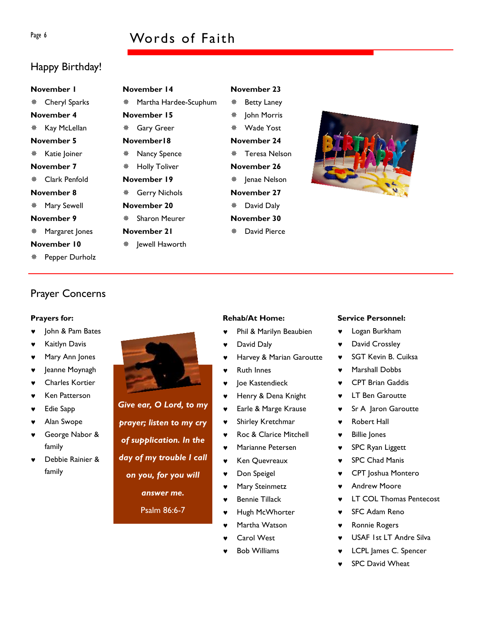# Page 6 Words of Faith

# Happy Birthday!

# November 1 Cheryl Sparks November 4 **※ Kay McLellan** November 5 \* Katie Joiner November 7 Clark Penfold November 8 Mary Sewell November 9 Margaret Jones November 10

Pepper Durholz

# November 14 Martha Hardee-Scuphum November 15 Gary Greer November18 Nancy Spence Holly Toliver November 19 Gerry Nichols November 20 Sharon Meurer November 21

\* lewell Haworth

### November 23

### Betty Laney **\*** John Morris Wade Yost November 24

Teresa Nelson

November 26

\* Jenae Nelson

- November 27
- David Daly
- November 30
- David Pierce



# Prayer Concerns

#### Prayers for:

- John & Pam Bates
- **Kaitlyn Davis**
- Mary Ann Jones
- ♥ Jeanne Moynagh
- Charles Kortier
- ♥ Ken Patterson
- **Edie Sapp**
- Alan Swope
- ♥ George Nabor & family
- Debbie Rainier & family



# Give ear, O Lord, to my

prayer; listen to my cry of supplication. In the

Psalm 86:6-7

### Rehab/At Home:

- Phil & Marilyn Beaubien
- David Daly
- Harvey & Marian Garoutte
- **Ruth Innes**
- Joe Kastendieck
- Henry & Dena Knight
- ♥ Earle & Marge Krause
- ♥ Shirley Kretchmar
- ♥ Roc & Clarice Mitchell
- ♥ Marianne Petersen
- ♥ Ken Quevreaux
- ♥ Don Speigel
- ♥ Mary Steinmetz
- ♥ Bennie Tillack
- ♥ Hugh McWhorter
- Martha Watson
- Carol West
- **Bob Williams**

#### Service Personnel:

- ♥ Logan Burkham
- ♥ David Crossley
- SGT Kevin B. Cuiksa
- Marshall Dobbs
- **CPT Brian Gaddis**
- ♥ LT Ben Garoutte
- Sr A Jaron Garoutte
- **Robert Hall**
- ♥ Billie Jones
- ♥ SPC Ryan Liggett
- ♥ SPC Chad Manis
- CPT Joshua Montero
- **Andrew Moore**
- **LT COL Thomas Pentecost**
- ♥ SFC Adam Reno
- Ronnie Rogers
- USAF 1st LT Andre Silva
- LCPL James C. Spencer
- **SPC David Wheat**
- 
- day of my trouble I call

on you, for you will

answer me.

- 
-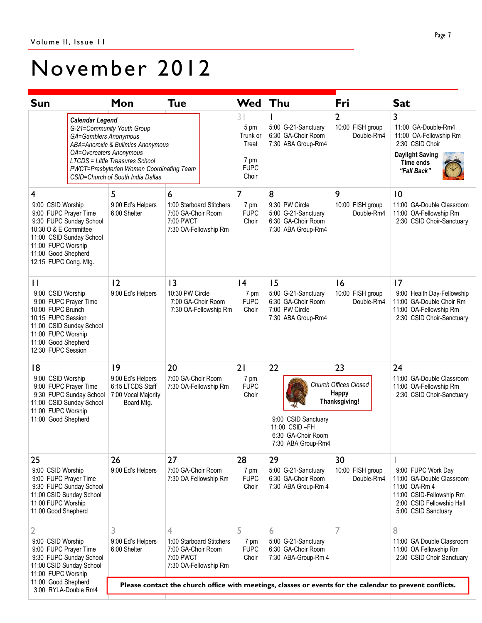# November 2012

| <b>Sun</b>                                                                                                                                                                                            |                        | Mon                                                                                                                                                                                                                                                    | <b>Tue</b>                                                                                             | <b>Wed</b>                                                      | Thu                                                                                     | Fri                                                   | <b>Sat</b>                                                                                                                                       |
|-------------------------------------------------------------------------------------------------------------------------------------------------------------------------------------------------------|------------------------|--------------------------------------------------------------------------------------------------------------------------------------------------------------------------------------------------------------------------------------------------------|--------------------------------------------------------------------------------------------------------|-----------------------------------------------------------------|-----------------------------------------------------------------------------------------|-------------------------------------------------------|--------------------------------------------------------------------------------------------------------------------------------------------------|
|                                                                                                                                                                                                       | <b>Calendar Legend</b> | G-21=Community Youth Group<br>GA=Gamblers Anonymous<br>ABA=Anorexic & Bulimics Anonymous<br><b>OA=Overeaters Anonymous</b><br><b>LTCDS = Little Treasures School</b><br>PWCT=Presbyterian Women Coordinating Team<br>CSID=Church of South India Dallas |                                                                                                        | 31<br>5 pm<br>Trunk or<br>Treat<br>7 pm<br><b>FUPC</b><br>Choir | 5:00 G-21-Sanctuary<br>6:30 GA-Choir Room<br>7:30 ABA Group-Rm4                         | 2<br>10:00 FISH group<br>Double-Rm4                   | 3<br>11:00 GA-Double-Rm4<br>11:00 OA-Fellowship Rm<br>2:30 CSID Choir<br><b>Daylight Saving</b><br>Time ends<br>"Fall Back"                      |
| 4<br>9:00 CSID Worship<br>9:00 FUPC Prayer Time<br>9:30 FUPC Sunday School<br>10:30 O & E Committee<br>11:00 CSID Sunday School<br>11:00 FUPC Worship<br>11:00 Good Shepherd<br>12:15 FUPC Cong. Mtg. |                        | 5<br>9:00 Ed's Helpers<br>6:00 Shelter                                                                                                                                                                                                                 | 6<br>1:00 Starboard Stitchers<br>7:00 GA-Choir Room<br>7:00 PWCT<br>7:30 OA-Fellowship Rm              | 7<br>7 pm<br><b>FUPC</b><br>Choir                               | 8<br>9:30 PW Circle<br>5:00 G-21-Sanctuary<br>6:30 GA-Choir Room<br>7:30 ABA Group-Rm4  | 9<br>10:00 FISH group<br>Double-Rm4                   | 10<br>11:00 GA-Double Classroom<br>11:00 OA-Fellowship Rm<br>2:30 CSID Choir-Sanctuary                                                           |
| $\mathbf{H}$<br>9:00 CSID Worship<br>9:00 FUPC Prayer Time<br>10:00 FUPC Brunch<br>10:15 FUPC Session<br>11:00 CSID Sunday School<br>11:00 FUPC Worship<br>11:00 Good Shepherd<br>12:30 FUPC Session  |                        | 12<br>9:00 Ed's Helpers                                                                                                                                                                                                                                | 3<br>10:30 PW Circle<br>7:00 GA-Choir Room<br>7:30 OA-Fellowship Rm                                    | 4<br>7 pm<br><b>FUPC</b><br>Choir                               | 15<br>5:00 G-21-Sanctuary<br>6:30 GA-Choir Room<br>7:00 PW Circle<br>7:30 ABA Group-Rm4 | 16<br>10:00 FISH group<br>Double-Rm4                  | 17<br>9:00 Health Day-Fellowship<br>11:00 GA-Double Choir Rm<br>11:00 OA-Fellowship Rm<br>2:30 CSID Choir-Sanctuary                              |
| 18<br>9:00 CSID Worship<br>9:00 FUPC Prayer Time<br>9:30 FUPC Sunday School<br>11:00 CSID Sunday School<br>11:00 FUPC Worship<br>11:00 Good Shepherd                                                  |                        | 9<br>9:00 Ed's Helpers<br>6:15 LTCDS Staff<br>7:00 Vocal Majority<br>Board Mtg.                                                                                                                                                                        | 20<br>7:00 GA-Choir Room<br>7:30 OA-Fellowship Rm                                                      | 21<br>7 pm<br><b>FUPC</b><br>Choir                              | 22<br>9:00 CSID Sanctuary<br>11:00 CSID-FH<br>6:30 GA-Choir Room<br>7:30 ABA Group-Rm4  | 23<br>Church Offices Closed<br>Happy<br>Thanksgiving! | 24<br>11:00 GA-Double Classroom<br>11:00 OA-Fellowship Rm<br>2:30 CSID Choir-Sanctuary                                                           |
| 25<br>9:00 CSID Worship<br>9:00 FUPC Prayer Time<br>9:30 FUPC Sunday School<br>11:00 CSID Sunday School<br>11:00 FUPC Worship<br>11:00 Good Shepherd                                                  |                        | 26<br>9:00 Ed's Helpers                                                                                                                                                                                                                                | 27<br>7:00 GA-Choir Room<br>7:30 OA Fellowship Rm                                                      | 28<br>7 pm<br><b>FUPC</b><br>Choir                              | 29<br>5:00 G-21-Sanctuary<br>6:30 GA-Choir Room<br>7:30 ABA Group-Rm 4                  | 30<br>10:00 FISH group<br>Double-Rm4                  | 9:00 FUPC Work Day<br>11:00 GA-Double Classroom<br>11:00 OA-Rm 4<br>11:00 CSID-Fellowship Rm<br>2:00 CSID Fellowship Hall<br>5:00 CSID Sanctuary |
| 2<br>9:00 CSID Worship<br>9:00 FUPC Prayer Time<br>9:30 FUPC Sunday School<br>11:00 CSID Sunday School<br>11:00 FUPC Worship                                                                          |                        | 3<br>9:00 Ed's Helpers<br>6:00 Shelter                                                                                                                                                                                                                 | $\overline{4}$<br>1:00 Starboard Stitchers<br>7:00 GA-Choir Room<br>7:00 PWCT<br>7:30 OA-Fellowship Rm | 5<br>7 pm<br><b>FUPC</b><br>Choir                               | 6<br>5:00 G-21-Sanctuary<br>6:30 GA-Choir Room<br>7:30 ABA-Group-Rm 4                   | 7                                                     | 8<br>11:00 GA Double Classroom<br>11:00 OA Fellowship Rm<br>2:30 CSID Choir Sanctuary                                                            |
| 11:00 Good Shepherd<br>3:00 RYLA-Double Rm4                                                                                                                                                           |                        | Please contact the church office with meetings, classes or events for the calendar to prevent conflicts.                                                                                                                                               |                                                                                                        |                                                                 |                                                                                         |                                                       |                                                                                                                                                  |